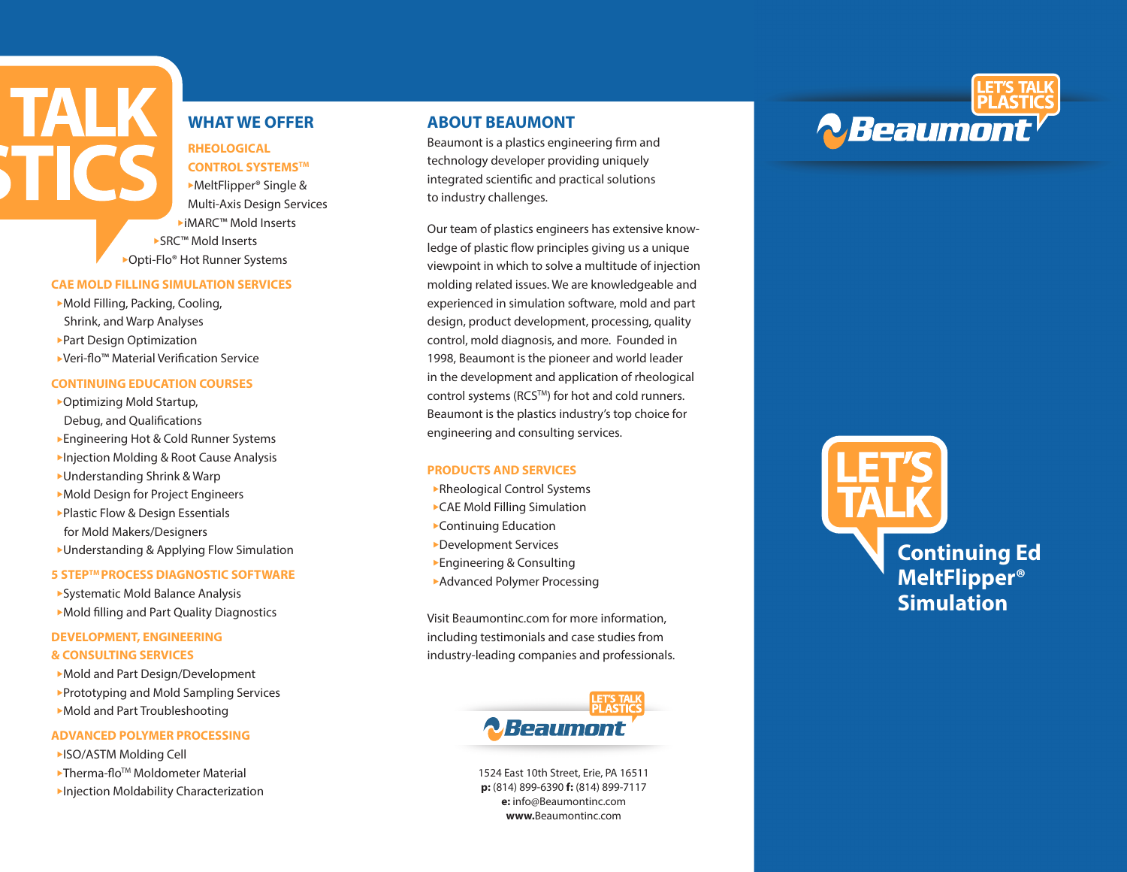# **WHAT WE OFFER**

# **RHEOLOGICAL CONTROL SYSTEMSTM**

▶MeltFlipper<sup>®</sup> Single & Multi-Axis Design Services <sup>u</sup>iMARC™ Mold Inserts ▶ SRC™ Mold Inserts ▶ Opti-Flo® Hot Runner Systems

#### **CAE MOLD FILLING SIMULATION SERVICES**

Mold Filling, Packing, Cooling, Shrink, and Warp Analyses ▶ Part Design Optimization ▶ Veri-flo™ Material Verification Service

**TALK** 

### **CONTINUING EDUCATION COURSES**

▶ Optimizing Mold Startup, Debug, and Qualifications ▶ Engineering Hot & Cold Runner Systems **Injection Molding & Root Cause Analysis** ► Understanding Shrink & Warp Mold Design for Project Engineers ▶ Plastic Flow & Design Essentials for Mold Makers/Designers  $\blacktriangleright$  Understanding & Applying Flow Simulation

#### **5 STEPTM PROCESS DIAGNOSTIC SOFTWARE**

▶ Systematic Mold Balance Analysis ▶ Mold filling and Part Quality Diagnostics

# **DEVELOPMENT, ENGINEERING & CONSULTING SERVICES**

Mold and Part Design/Development ▶ Prototyping and Mold Sampling Services Mold and Part Troubleshooting

#### **ADVANCED POLYMER PROCESSING**

**EISO/ASTM Molding Cell**  $\blacktriangleright$ Therma-flo<sup>TM</sup> Moldometer Material **Injection Moldability Characterization** 

# **ABOUT BEAUMONT**

Beaumont is a plastics engineering firm and technology developer providing uniquely integrated scientific and practical solutions to industry challenges.

Our team of plastics engineers has extensive knowledge of plastic flow principles giving us a unique viewpoint in which to solve a multitude of injection molding related issues. We are knowledgeable and experienced in simulation software, mold and part design, product development, processing, quality control, mold diagnosis, and more. Founded in 1998, Beaumont is the pioneer and world leader in the development and application of rheological control systems (RCS™) for hot and cold runners. Beaumont is the plastics industry's top choice for engineering and consulting services.

### **PRODUCTS AND SERVICES**

**Rheological Control Systems** ▶ CAE Mold Filling Simulation  $\blacktriangleright$  Continuing Education **Development Services**  $\blacktriangleright$  Engineering & Consulting **Advanced Polymer Processing** 

Visit Beaumontinc.com for more information, including testimonials and case studies from industry-leading companies and professionals.



1524 East 10th Street, Erie, PA 16511 **p:** (814) 899-6390 **f:** (814) 899-7117 **e:** info@Beaumontinc.com **www.**Beaumontinc.com



# **Continuing Ed MeltFlipper® Simulation**